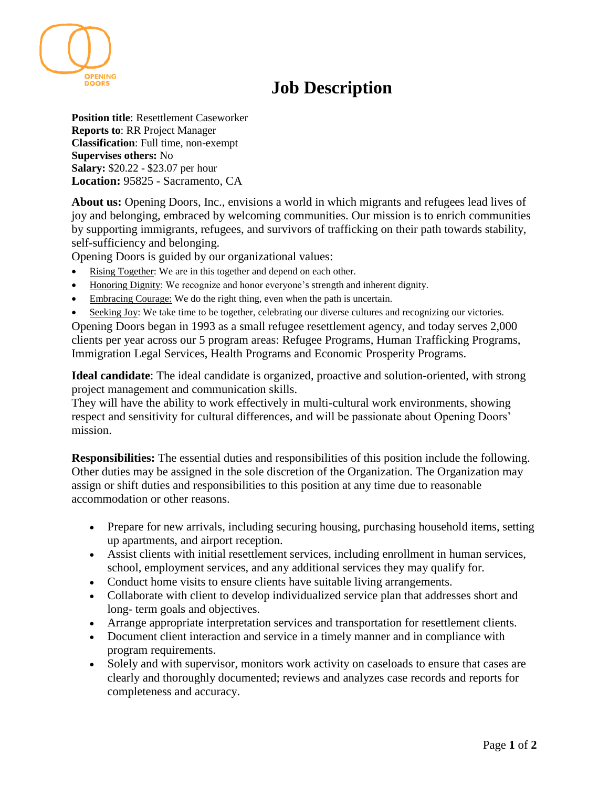

**Position title**: Resettlement Caseworker **Reports to**: RR Project Manager **Classification**: Full time, non-exempt **Supervises others:** No **Salary:** \$20.22 - \$23.07 per hour **Location:** 95825 - Sacramento, CA

**About us:** Opening Doors, Inc., envisions a world in which migrants and refugees lead lives of joy and belonging, embraced by welcoming communities. Our mission is to enrich communities by supporting immigrants, refugees, and survivors of trafficking on their path towards stability, self-sufficiency and belonging.

Opening Doors is guided by our organizational values:

- Rising Together: We are in this together and depend on each other.
- Honoring Dignity: We recognize and honor everyone's strength and inherent dignity.
- Embracing Courage: We do the right thing, even when the path is uncertain.
- Seeking Joy: We take time to be together, celebrating our diverse cultures and recognizing our victories.

Opening Doors began in 1993 as a small refugee resettlement agency, and today serves 2,000 clients per year across our 5 program areas: Refugee Programs, Human Trafficking Programs, Immigration Legal Services, Health Programs and Economic Prosperity Programs.

**Ideal candidate**: The ideal candidate is organized, proactive and solution-oriented, with strong project management and communication skills.

They will have the ability to work effectively in multi-cultural work environments, showing respect and sensitivity for cultural differences, and will be passionate about Opening Doors' mission.

**Responsibilities:** The essential duties and responsibilities of this position include the following. Other duties may be assigned in the sole discretion of the Organization. The Organization may assign or shift duties and responsibilities to this position at any time due to reasonable accommodation or other reasons.

- Prepare for new arrivals, including securing housing, purchasing household items, setting up apartments, and airport reception.
- Assist clients with initial resettlement services, including enrollment in human services, school, employment services, and any additional services they may qualify for.
- Conduct home visits to ensure clients have suitable living arrangements.
- Collaborate with client to develop individualized service plan that addresses short and long- term goals and objectives.
- Arrange appropriate interpretation services and transportation for resettlement clients.
- Document client interaction and service in a timely manner and in compliance with program requirements.
- Solely and with supervisor, monitors work activity on caseloads to ensure that cases are clearly and thoroughly documented; reviews and analyzes case records and reports for completeness and accuracy.